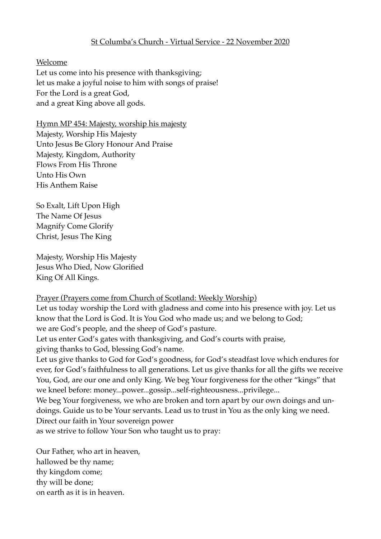## St Columba's Church - Virtual Service - 22 November 2020

### Welcome

Let us come into his presence with thanksgiving; let us make a joyful noise to him with songs of praise! For the Lord is a great God, and a great King above all gods.

Hymn MP 454: Majesty, worship his majesty

Majesty, Worship His Majesty Unto Jesus Be Glory Honour And Praise Majesty, Kingdom, Authority Flows From His Throne Unto His Own His Anthem Raise

So Exalt, Lift Upon High The Name Of Jesus Magnify Come Glorify Christ, Jesus The King

Majesty, Worship His Majesty Jesus Who Died, Now Glorified King Of All Kings.

#### Prayer (Prayers come from Church of Scotland: Weekly Worship)

Let us today worship the Lord with gladness and come into his presence with joy. Let us know that the Lord is God. It is You God who made us; and we belong to God; we are God's people, and the sheep of God's pasture.

Let us enter God's gates with thanksgiving, and God's courts with praise,

giving thanks to God, blessing God's name.

Let us give thanks to God for God's goodness, for God's steadfast love which endures for ever, for God's faithfulness to all generations. Let us give thanks for all the gifts we receive You, God, are our one and only King. We beg Your forgiveness for the other "kings" that we kneel before: money...power...gossip...self-righteousness...privilege...

We beg Your forgiveness, we who are broken and torn apart by our own doings and undoings. Guide us to be Your servants. Lead us to trust in You as the only king we need. Direct our faith in Your sovereign power

as we strive to follow Your Son who taught us to pray:

Our Father, who art in heaven, hallowed be thy name; thy kingdom come; thy will be done; on earth as it is in heaven.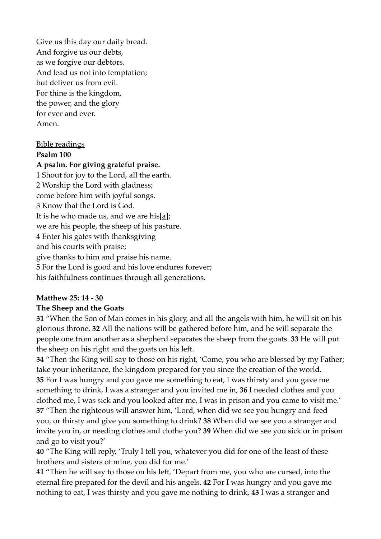Give us this day our daily bread. And forgive us our debts, as we forgive our debtors. And lead us not into temptation; but deliver us from evil. For thine is the kingdom, the power, and the glory for ever and ever. Amen.

# Bible readings

#### **Psalm 100**

#### **A psalm. For giving grateful praise.**

1 Shout for joy to the Lord, all the earth. 2 Worship the Lord with gladness; come before him with joyful songs. 3 Know that the Lord is God. It is he who made us, and we are his[a]; we are his people, the sheep of his pasture. 4 Enter his gates with thanksgiving and his courts with praise; give thanks to him and praise his name. 5 For the Lord is good and his love endures forever; his faithfulness continues through all generations.

#### **Matthew 25: 14 - 30**

## **The Sheep and the Goats**

**31** "When the Son of Man comes in his glory, and all the angels with him, he will sit on his glorious throne. **32** All the nations will be gathered before him, and he will separate the people one from another as a shepherd separates the sheep from the goats. **33** He will put the sheep on his right and the goats on his left.

**34** "Then the King will say to those on his right, 'Come, you who are blessed by my Father; take your inheritance, the kingdom prepared for you since the creation of the world. **35** For I was hungry and you gave me something to eat, I was thirsty and you gave me something to drink, I was a stranger and you invited me in, **36** I needed clothes and you clothed me, I was sick and you looked after me, I was in prison and you came to visit me.' **37** "Then the righteous will answer him, 'Lord, when did we see you hungry and feed you, or thirsty and give you something to drink? **38** When did we see you a stranger and invite you in, or needing clothes and clothe you? **39** When did we see you sick or in prison and go to visit you?'

**40** "The King will reply, 'Truly I tell you, whatever you did for one of the least of these brothers and sisters of mine, you did for me.'

**41** "Then he will say to those on his left, 'Depart from me, you who are cursed, into the eternal fire prepared for the devil and his angels. **42** For I was hungry and you gave me nothing to eat, I was thirsty and you gave me nothing to drink, **43** I was a stranger and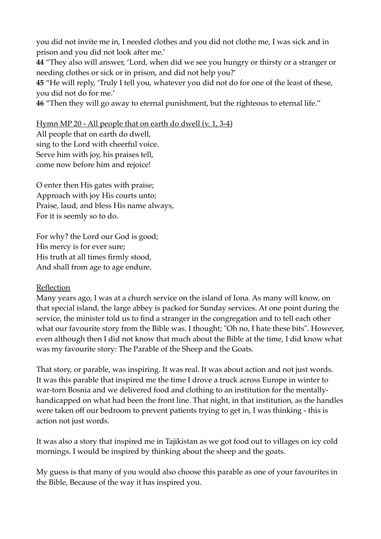you did not invite me in, I needed clothes and you did not clothe me, I was sick and in prison and you did not look after me.'

**44** "They also will answer, 'Lord, when did we see you hungry or thirsty or a stranger or needing clothes or sick or in prison, and did not help you?'

**45** "He will reply, 'Truly I tell you, whatever you did not do for one of the least of these, you did not do for me.'

**46** "Then they will go away to eternal punishment, but the righteous to eternal life."

Hymn MP 20 - All people that on earth do dwell (v. 1, 3-4)

All people that on earth do dwell, sing to the Lord with cheerful voice. Serve him with joy, his praises tell, come now before him and rejoice!

O enter then His gates with praise; Approach with joy His courts unto; Praise, laud, and bless His name always, For it is seemly so to do.

For why? the Lord our God is good; His mercy is for ever sure; His truth at all times firmly stood, And shall from age to age endure.

## Reflection

Many years ago, I was at a church service on the island of Iona. As many will know, on that special island, the large abbey is packed for Sunday services. At one point during the service, the minister told us to find a stranger in the congregation and to tell each other what our favourite story from the Bible was. I thought; "Oh no, I hate these bits". However, even although then I did not know that much about the Bible at the time, I did know what was my favourite story: The Parable of the Sheep and the Goats.

That story, or parable, was inspiring. It was real. It was about action and not just words. It was this parable that inspired me the time I drove a truck across Europe in winter to war-torn Bosnia and we delivered food and clothing to an institution for the mentallyhandicapped on what had been the front line. That night, in that institution, as the handles were taken off our bedroom to prevent patients trying to get in, I was thinking - this is action not just words.

It was also a story that inspired me in Tajikistan as we got food out to villages on icy cold mornings. I would be inspired by thinking about the sheep and the goats.

My guess is that many of you would also choose this parable as one of your favourites in the Bible, Because of the way it has inspired you.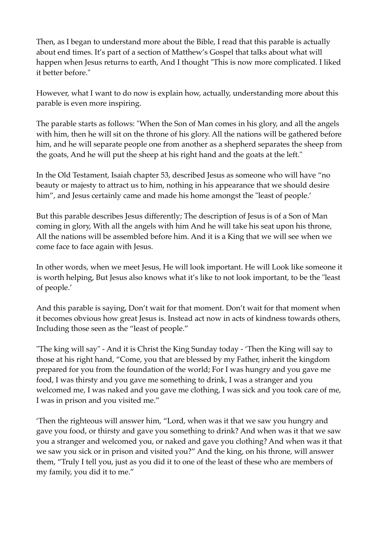Then, as I began to understand more about the Bible, I read that this parable is actually about end times. It's part of a section of Matthew's Gospel that talks about what will happen when Jesus returns to earth, And I thought "This is now more complicated. I liked it better before."

However, what I want to do now is explain how, actually, understanding more about this parable is even more inspiring.

The parable starts as follows: "When the Son of Man comes in his glory, and all the angels with him, then he will sit on the throne of his glory. All the nations will be gathered before him, and he will separate people one from another as a shepherd separates the sheep from the goats, And he will put the sheep at his right hand and the goats at the left."

In the Old Testament, Isaiah chapter 53, described Jesus as someone who will have "no beauty or majesty to attract us to him, nothing in his appearance that we should desire him", and Jesus certainly came and made his home amongst the "least of people.'

But this parable describes Jesus differently; The description of Jesus is of a Son of Man coming in glory, With all the angels with him And he will take his seat upon his throne, All the nations will be assembled before him. And it is a King that we will see when we come face to face again with Jesus.

In other words, when we meet Jesus, He will look important. He will Look like someone it is worth helping, But Jesus also knows what it's like to not look important, to be the "least of people.'

And this parable is saying, Don't wait for that moment. Don't wait for that moment when it becomes obvious how great Jesus is. Instead act now in acts of kindness towards others, Including those seen as the "least of people."

"The king will say" - And it is Christ the King Sunday today - 'Then the King will say to those at his right hand, "Come, you that are blessed by my Father, inherit the kingdom prepared for you from the foundation of the world; For I was hungry and you gave me food, I was thirsty and you gave me something to drink, I was a stranger and you welcomed me, I was naked and you gave me clothing, I was sick and you took care of me, I was in prison and you visited me."

'Then the righteous will answer him, "Lord, when was it that we saw you hungry and gave you food, or thirsty and gave you something to drink? And when was it that we saw you a stranger and welcomed you, or naked and gave you clothing? And when was it that we saw you sick or in prison and visited you?" And the king, on his throne, will answer them, "Truly I tell you, just as you did it to one of the least of these who are members of my family, you did it to me."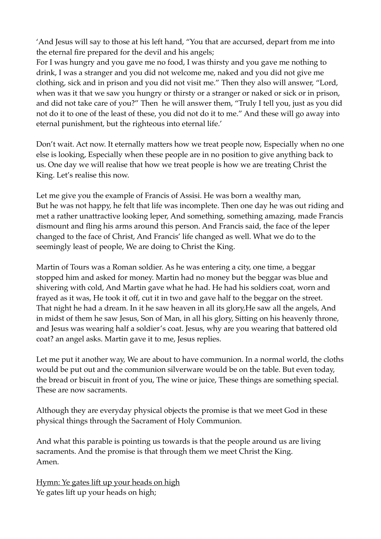'And Jesus will say to those at his left hand, "You that are accursed, depart from me into the eternal fire prepared for the devil and his angels;

For I was hungry and you gave me no food, I was thirsty and you gave me nothing to drink, I was a stranger and you did not welcome me, naked and you did not give me clothing, sick and in prison and you did not visit me." Then they also will answer, "Lord, when was it that we saw you hungry or thirsty or a stranger or naked or sick or in prison, and did not take care of you?" Then he will answer them, "Truly I tell you, just as you did not do it to one of the least of these, you did not do it to me." And these will go away into eternal punishment, but the righteous into eternal life.'

Don't wait. Act now. It eternally matters how we treat people now, Especially when no one else is looking, Especially when these people are in no position to give anything back to us. One day we will realise that how we treat people is how we are treating Christ the King. Let's realise this now.

Let me give you the example of Francis of Assisi. He was born a wealthy man, But he was not happy, he felt that life was incomplete. Then one day he was out riding and met a rather unattractive looking leper, And something, something amazing, made Francis dismount and fling his arms around this person. And Francis said, the face of the leper changed to the face of Christ, And Francis' life changed as well. What we do to the seemingly least of people, We are doing to Christ the King.

Martin of Tours was a Roman soldier. As he was entering a city, one time, a beggar stopped him and asked for money. Martin had no money but the beggar was blue and shivering with cold, And Martin gave what he had. He had his soldiers coat, worn and frayed as it was, He took it off, cut it in two and gave half to the beggar on the street. That night he had a dream. In it he saw heaven in all its glory,He saw all the angels, And in midst of them he saw Jesus, Son of Man, in all his glory, Sitting on his heavenly throne, and Jesus was wearing half a soldier's coat. Jesus, why are you wearing that battered old coat? an angel asks. Martin gave it to me, Jesus replies.

Let me put it another way, We are about to have communion. In a normal world, the cloths would be put out and the communion silverware would be on the table. But even today, the bread or biscuit in front of you, The wine or juice, These things are something special. These are now sacraments.

Although they are everyday physical objects the promise is that we meet God in these physical things through the Sacrament of Holy Communion.

And what this parable is pointing us towards is that the people around us are living sacraments. And the promise is that through them we meet Christ the King. Amen.

Hymn: Ye gates lift up your heads on high Ye gates lift up your heads on high;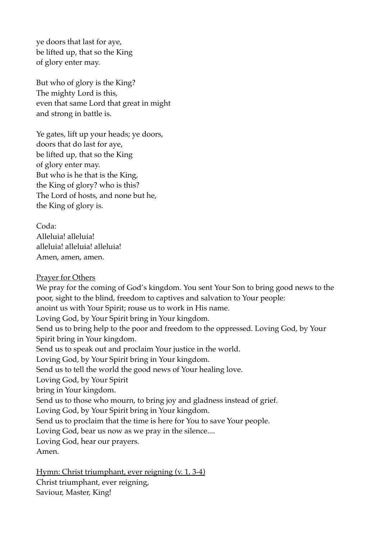ye doors that last for aye, be lifted up, that so the King of glory enter may.

But who of glory is the King? The mighty Lord is this, even that same Lord that great in might and strong in battle is.

Ye gates, lift up your heads; ye doors, doors that do last for aye, be lifted up, that so the King of glory enter may. But who is he that is the King, the King of glory? who is this? The Lord of hosts, and none but he, the King of glory is.

Coda: Alleluia! alleluia! alleluia! alleluia! alleluia! Amen, amen, amen.

## Prayer for Others

We pray for the coming of God's kingdom. You sent Your Son to bring good news to the poor, sight to the blind, freedom to captives and salvation to Your people: anoint us with Your Spirit; rouse us to work in His name. Loving God, by Your Spirit bring in Your kingdom. Send us to bring help to the poor and freedom to the oppressed. Loving God, by Your Spirit bring in Your kingdom. Send us to speak out and proclaim Your justice in the world. Loving God, by Your Spirit bring in Your kingdom. Send us to tell the world the good news of Your healing love. Loving God, by Your Spirit bring in Your kingdom. Send us to those who mourn, to bring joy and gladness instead of grief. Loving God, by Your Spirit bring in Your kingdom. Send us to proclaim that the time is here for You to save Your people. Loving God, bear us now as we pray in the silence.... Loving God, hear our prayers. Amen.

Hymn: Christ triumphant, ever reigning (v. 1, 3-4) Christ triumphant, ever reigning, Saviour, Master, King!